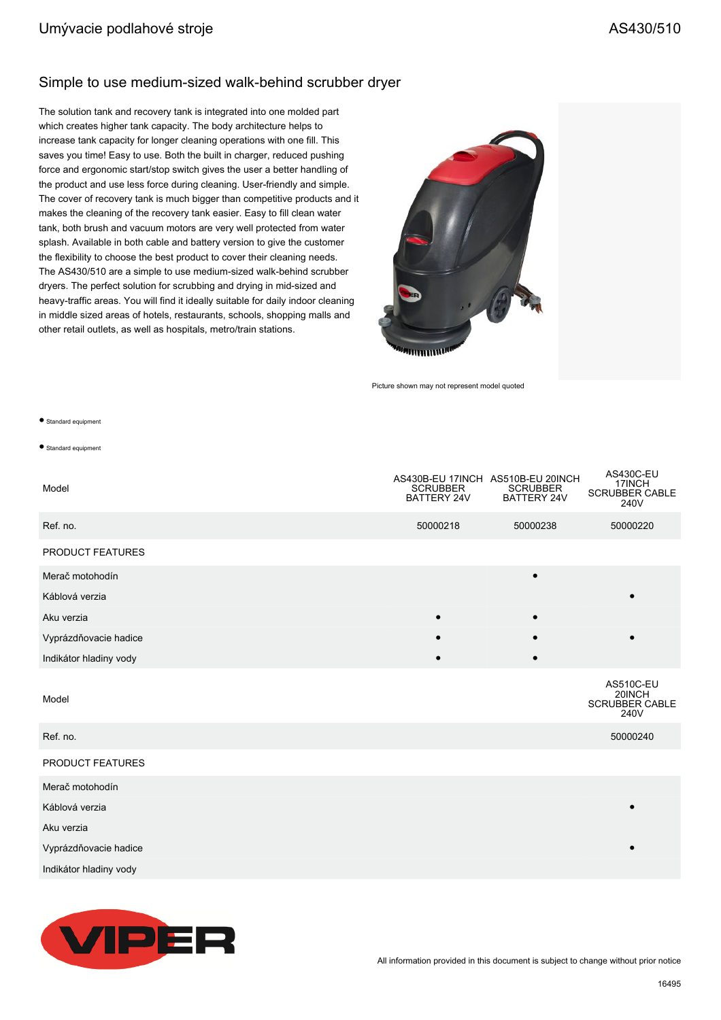#### Simple to use medium-sized walk-behind scrubber dryer

The solution tank and recovery tank is integrated into one molded part which creates higher tank capacity. The body architecture helps to increase tank capacity for longer cleaning operations with one fill. This saves you time! Easy to use. Both the built in charger, reduced pushing force and ergonomic start/stop switch gives the user a better handling of the product and use less force during cleaning. User-friendly and simple. The cover of recovery tank is much bigger than competitive products and it makes the cleaning of the recovery tank easier. Easy to fill clean water tank, both brush and vacuum motors are very well protected from water splash. Available in both cable and battery version to give the customer the flexibility to choose the best product to cover their cleaning needs. The AS430/510 are a simple to use medium-sized walk-behind scrubber dryers. The perfect solution for scrubbing and drying in mid-sized and heavy-traffic areas. You will find it ideally suitable for daily indoor cleaning in middle sized areas of hotels, restaurants, schools, shopping malls and other retail outlets, as well as hospitals, metro/train stations.



Picture shown may not represent model quoted

#### ● Standard equipment

● Standard equipment

| Model                  | <b>SCRUBBER</b><br>BATTERY 24V | AS430B-EU 17INCH AS510B-EU 20INCH<br><b>SCRUBBER</b><br>BATTERY 24V | <b>AS430C-EU</b><br>17INCH<br><b>SCRUBBER CABLE</b><br>240V |
|------------------------|--------------------------------|---------------------------------------------------------------------|-------------------------------------------------------------|
| Ref. no.               | 50000218                       | 50000238                                                            | 50000220                                                    |
| PRODUCT FEATURES       |                                |                                                                     |                                                             |
| Merač motohodín        |                                | $\bullet$                                                           |                                                             |
| Káblová verzia         |                                |                                                                     |                                                             |
| Aku verzia             |                                |                                                                     |                                                             |
| Vyprázdňovacie hadice  |                                |                                                                     |                                                             |
| Indikátor hladiny vody |                                |                                                                     |                                                             |
| Model                  |                                |                                                                     | <b>AS510C-EU</b><br>20INCH<br><b>SCRUBBER CABLE</b><br>240V |
| Ref. no.               |                                |                                                                     | 50000240                                                    |
| PRODUCT FEATURES       |                                |                                                                     |                                                             |
| Merač motohodín        |                                |                                                                     |                                                             |
| Káblová verzia         |                                |                                                                     |                                                             |
| Aku verzia             |                                |                                                                     |                                                             |
| Vyprázdňovacie hadice  |                                |                                                                     |                                                             |
| Indikátor hladiny vody |                                |                                                                     |                                                             |

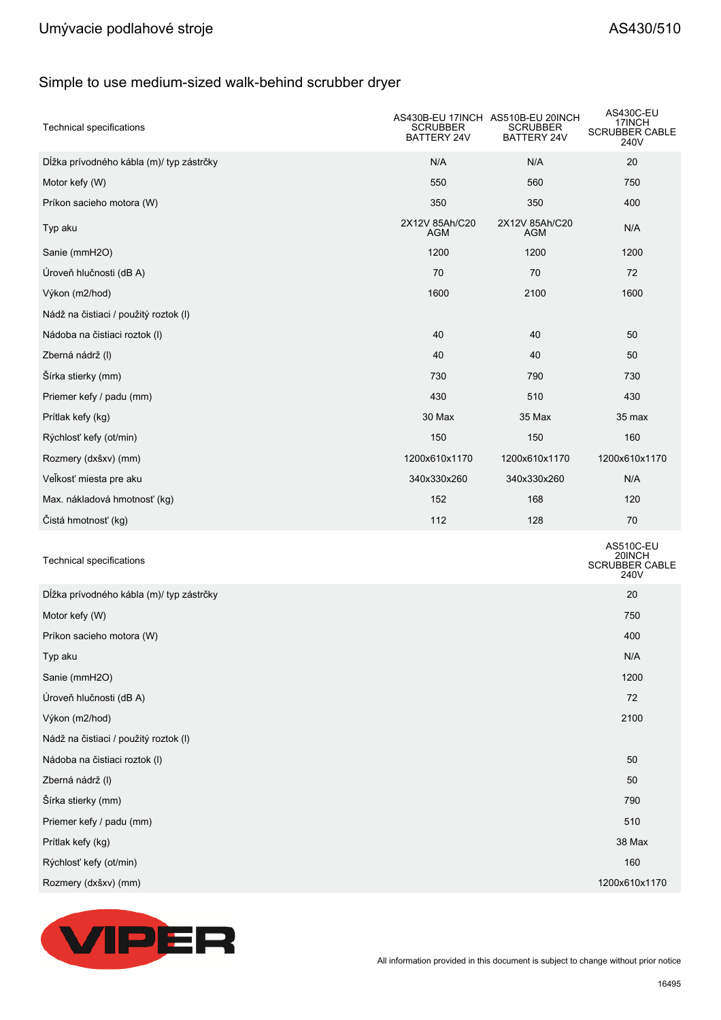# Umývacie podlahové stroje **AS430/510**

# Simple to use medium-sized walk-behind scrubber dryer

| <b>Technical specifications</b>          | AS430B-EU 17INCH AS510B-EU 20INCH<br>SCRUBBER<br>BATTERY 24V | <b>SCRUBBER</b><br>BATTERY 24V | AS430C-EU<br>17INCH<br><b>SCRUBBER CABLE</b><br>240V |
|------------------------------------------|--------------------------------------------------------------|--------------------------------|------------------------------------------------------|
| Dĺžka prívodného kábla (m)/ typ zástrčky | N/A                                                          | N/A                            | 20                                                   |
| Motor kefy (W)                           | 550                                                          | 560                            | 750                                                  |
| Príkon sacieho motora (W)                | 350                                                          | 350                            | 400                                                  |
| Typ aku                                  | 2X12V 85Ah/C20<br>AGM                                        | 2X12V 85Ah/C20<br>AGM          | N/A                                                  |
| Sanie (mmH2O)                            | 1200                                                         | 1200                           | 1200                                                 |
| Úroveň hlučnosti (dB A)                  | 70                                                           | 70                             | 72                                                   |
| Výkon (m2/hod)                           | 1600                                                         | 2100                           | 1600                                                 |
| Nádž na čistiaci / použitý roztok (I)    |                                                              |                                |                                                      |
| Nádoba na čistiaci roztok (I)            | 40                                                           | 40                             | 50                                                   |
| Zberná nádrž (I)                         | 40                                                           | 40                             | 50                                                   |
| Šírka stierky (mm)                       | 730                                                          | 790                            | 730                                                  |
| Priemer kefy / padu (mm)                 | 430                                                          | 510                            | 430                                                  |
| Prítlak kefy (kg)                        | 30 Max                                                       | 35 Max                         | 35 max                                               |
| Rýchlosť kefy (ot/min)                   | 150                                                          | 150                            | 160                                                  |
| Rozmery (dxšxv) (mm)                     | 1200x610x1170                                                | 1200x610x1170                  | 1200x610x1170                                        |
| Velkosť miesta pre aku                   | 340x330x260                                                  | 340x330x260                    | N/A                                                  |
| Max. nákladová hmotnosť (kg)             | 152                                                          | 168                            | 120                                                  |
| Čistá hmotnosť (kg)                      | 112                                                          | 128                            | 70                                                   |
| Technical specifications                 |                                                              |                                | AS510C-EU<br>20INCH<br>SCRUBBER CABLE<br>240V        |
| Dĺžka prívodného kábla (m)/ typ zástrčky |                                                              |                                | 20                                                   |
| Motor kefy (W)                           |                                                              |                                | 750                                                  |
| Príkon sacieho motora (W)                |                                                              |                                | 400                                                  |
| Typ aku                                  |                                                              |                                | N/A                                                  |
| Sanie (mmH2O)                            |                                                              |                                | 1200                                                 |
| Úroveň hlučnosti (dB A)                  |                                                              |                                | 72                                                   |
| Výkon (m2/hod)                           |                                                              |                                | 2100                                                 |
| Nádž na čistiaci / použitý roztok (I)    |                                                              |                                |                                                      |
| Nádoba na čistiaci roztok (I)            |                                                              |                                | 50                                                   |
| Zberná nádrž (I)                         |                                                              |                                | 50                                                   |
| Šírka stierky (mm)                       |                                                              |                                | 790                                                  |
| Priemer kefy / padu (mm)                 |                                                              |                                | 510                                                  |
| Prítlak kefy (kg)                        |                                                              |                                | 38 Max                                               |
| Rýchlosť kefy (ot/min)                   |                                                              |                                | 160                                                  |
| Rozmery (dxšxv) (mm)                     |                                                              |                                | 1200x610x1170                                        |